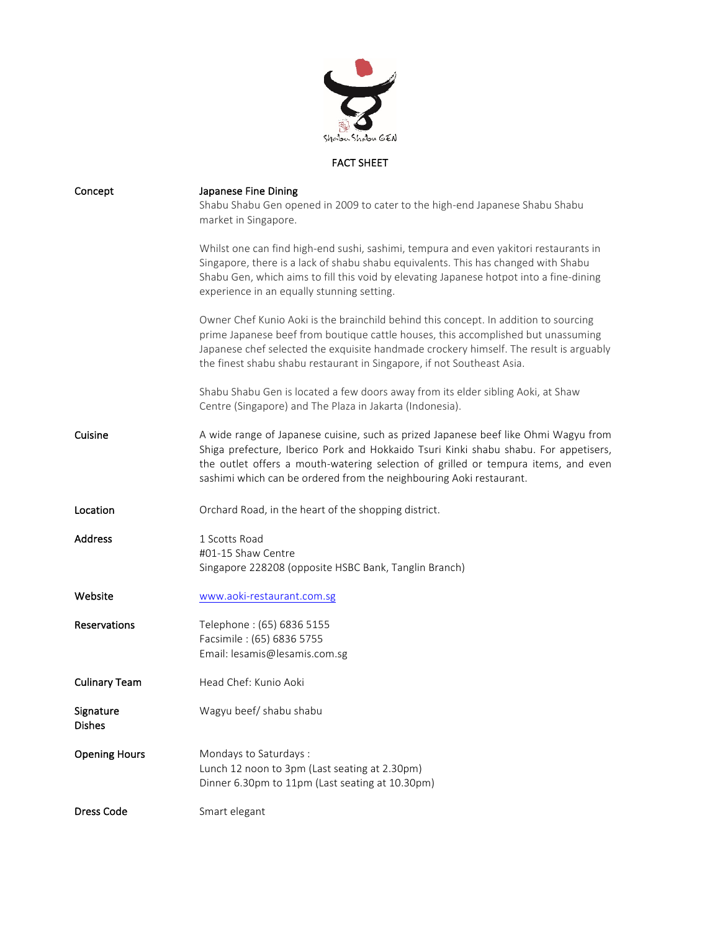

## FACT SHEET

| Concept                    | Japanese Fine Dining<br>Shabu Shabu Gen opened in 2009 to cater to the high-end Japanese Shabu Shabu<br>market in Singapore.                                                                                                                                                                                                                  |
|----------------------------|-----------------------------------------------------------------------------------------------------------------------------------------------------------------------------------------------------------------------------------------------------------------------------------------------------------------------------------------------|
|                            | Whilst one can find high-end sushi, sashimi, tempura and even yakitori restaurants in<br>Singapore, there is a lack of shabu shabu equivalents. This has changed with Shabu<br>Shabu Gen, which aims to fill this void by elevating Japanese hotpot into a fine-dining<br>experience in an equally stunning setting.                          |
|                            | Owner Chef Kunio Aoki is the brainchild behind this concept. In addition to sourcing<br>prime Japanese beef from boutique cattle houses, this accomplished but unassuming<br>Japanese chef selected the exquisite handmade crockery himself. The result is arguably<br>the finest shabu shabu restaurant in Singapore, if not Southeast Asia. |
|                            | Shabu Shabu Gen is located a few doors away from its elder sibling Aoki, at Shaw<br>Centre (Singapore) and The Plaza in Jakarta (Indonesia).                                                                                                                                                                                                  |
| Cuisine                    | A wide range of Japanese cuisine, such as prized Japanese beef like Ohmi Wagyu from<br>Shiga prefecture, Iberico Pork and Hokkaido Tsuri Kinki shabu shabu. For appetisers,<br>the outlet offers a mouth-watering selection of grilled or tempura items, and even<br>sashimi which can be ordered from the neighbouring Aoki restaurant.      |
| Location                   | Orchard Road, in the heart of the shopping district.                                                                                                                                                                                                                                                                                          |
| <b>Address</b>             | 1 Scotts Road<br>#01-15 Shaw Centre<br>Singapore 228208 (opposite HSBC Bank, Tanglin Branch)                                                                                                                                                                                                                                                  |
| Website                    | www.aoki-restaurant.com.sg                                                                                                                                                                                                                                                                                                                    |
| Reservations               | Telephone: (65) 6836 5155<br>Facsimile: (65) 6836 5755<br>Email: lesamis@lesamis.com.sg                                                                                                                                                                                                                                                       |
| <b>Culinary Team</b>       | Head Chef: Kunio Aoki                                                                                                                                                                                                                                                                                                                         |
| Signature<br><b>Dishes</b> | Wagyu beef/ shabu shabu                                                                                                                                                                                                                                                                                                                       |
| <b>Opening Hours</b>       | Mondays to Saturdays :<br>Lunch 12 noon to 3pm (Last seating at 2.30pm)<br>Dinner 6.30pm to 11pm (Last seating at 10.30pm)                                                                                                                                                                                                                    |
| <b>Dress Code</b>          | Smart elegant                                                                                                                                                                                                                                                                                                                                 |